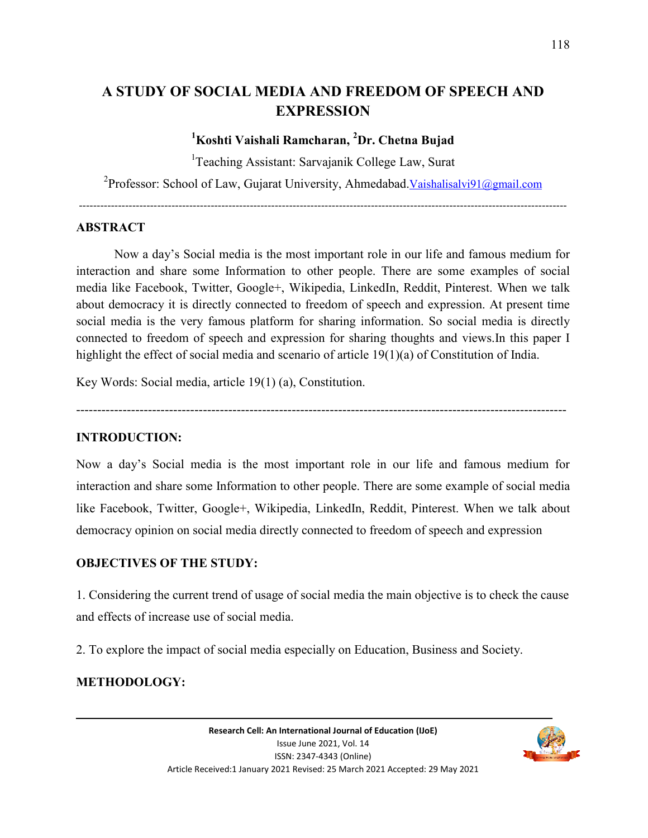# **A STUDY OF SOCIAL MEDIA AND FREEDOM OF SPEECH AND EXPRESSION**

# **<sup>1</sup>Koshti Vaishali Ramcharan, <sup>2</sup>Dr. Chetna Bujad**

<sup>1</sup>Teaching Assistant: Sarvajanik College Law, Surat

<sup>2</sup>Professor: School of Law, Gujarat University, Ahmedabad. Vaishalisalvi91@gmail.com

-----------------------------------------------------------------------------------------------------------------------------------------

#### **ABSTRACT**

Now a day's Social media is the most important role in our life and famous medium for interaction and share some Information to other people. There are some examples of social media like Facebook, Twitter, Google+, Wikipedia, LinkedIn, Reddit, Pinterest. When we talk about democracy it is directly connected to freedom of speech and expression. At present time social media is the very famous platform for sharing information. So social media is directly connected to freedom of speech and expression for sharing thoughts and views.In this paper I highlight the effect of social media and scenario of article 19(1)(a) of Constitution of India.

Key Words: Social media, article 19(1) (a), Constitution.

--------------------------------------------------------------------------------------------------------------------

#### **INTRODUCTION:**

Now a day's Social media is the most important role in our life and famous medium for interaction and share some Information to other people. There are some example of social media like Facebook, Twitter, Google+, Wikipedia, LinkedIn, Reddit, Pinterest. When we talk about democracy opinion on social media directly connected to freedom of speech and expression

### **OBJECTIVES OF THE STUDY:**

1. Considering the current trend of usage of social media the main objective is to check the cause and effects of increase use of social media.

2. To explore the impact of social media especially on Education, Business and Society.

### **METHODOLOGY:**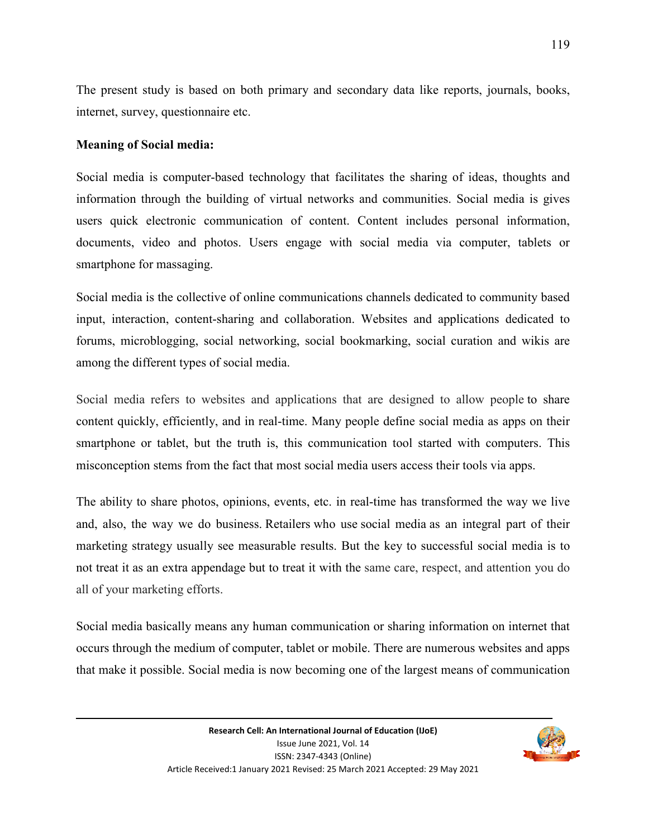The present study is based on both primary and secondary data like reports, journals, books, internet, survey, questionnaire etc.

#### **Meaning of Social media:**

Social media is computer-based technology that facilitates the sharing of ideas, thoughts and information through the building of virtual networks and communities. Social media is gives users quick electronic communication of content. Content includes personal information, documents, video and photos. Users engage with social media via computer, tablets or smartphone for massaging.

Social media is the collective of online communications channels dedicated to community based input, interaction, content-sharing and collaboration. Websites and applications dedicated to forums, microblogging, social networking, social bookmarking, social curation and wikis are among the different types of social media.

Social media refers to websites and applications that are designed to allow people to share content quickly, efficiently, and in real-time. Many people define social media as apps on their smartphone or tablet, but the truth is, this communication tool started with computers. This misconception stems from the fact that most social media users access their tools via apps.

The ability to share photos, opinions, events, etc. in real-time has transformed the way we live and, also, the way we do business. Retailers who use social media as an integral part of their marketing strategy usually see measurable results. But the key to successful social media is to not treat it as an extra appendage but to treat it with the same care, respect, and attention you do all of your marketing efforts.

Social media basically means any human communication or sharing information on internet that occurs through the medium of computer, tablet or mobile. There are numerous websites and apps that make it possible. Social media is now becoming one of the largest means of communication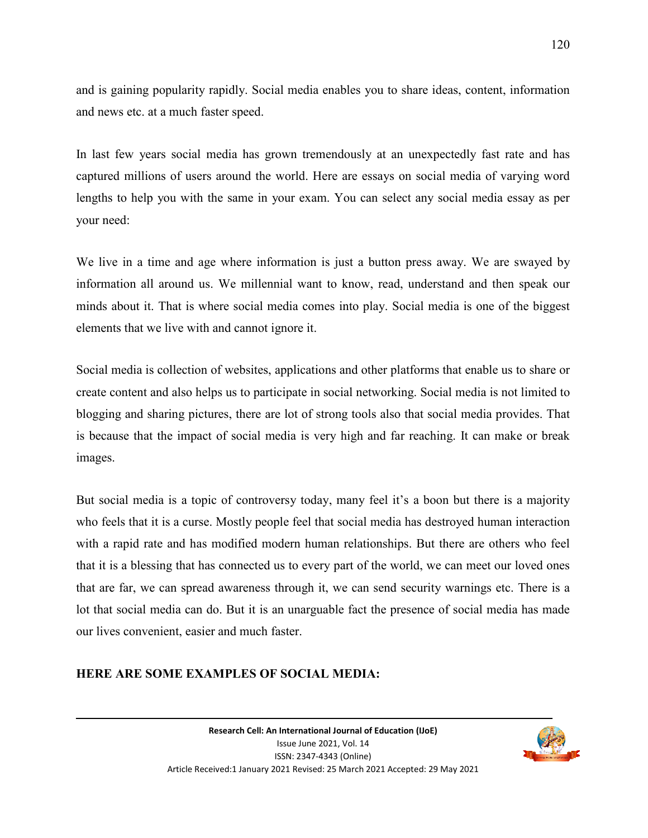and is gaining popularity rapidly. Social media enables you to share ideas, content, information and news etc. at a much faster speed.

In last few years social media has grown tremendously at an unexpectedly fast rate and has captured millions of users around the world. Here are essays on social media of varying word lengths to help you with the same in your exam. You can select any social media essay as per your need:

We live in a time and age where information is just a button press away. We are swayed by information all around us. We millennial want to know, read, understand and then speak our minds about it. That is where social media comes into play. Social media is one of the biggest elements that we live with and cannot ignore it.

Social media is collection of websites, applications and other platforms that enable us to share or create content and also helps us to participate in social networking. Social media is not limited to blogging and sharing pictures, there are lot of strong tools also that social media provides. That is because that the impact of social media is very high and far reaching. It can make or break images.

But social media is a topic of controversy today, many feel it's a boon but there is a majority who feels that it is a curse. Mostly people feel that social media has destroyed human interaction with a rapid rate and has modified modern human relationships. But there are others who feel that it is a blessing that has connected us to every part of the world, we can meet our loved ones that are far, we can spread awareness through it, we can send security warnings etc. There is a lot that social media can do. But it is an unarguable fact the presence of social media has made our lives convenient, easier and much faster.

#### **HERE ARE SOME EXAMPLES OF SOCIAL MEDIA:**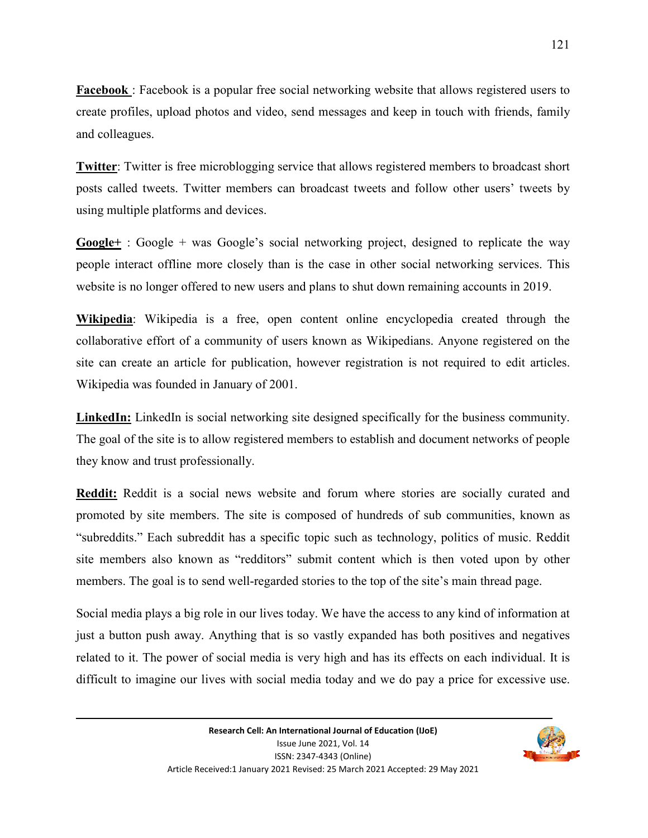**Facebook** : Facebook is a popular free social networking website that allows registered users to create profiles, upload photos and video, send messages and keep in touch with friends, family and colleagues.

**Twitter**: Twitter is free microblogging service that allows registered members to broadcast short posts called tweets. Twitter members can broadcast tweets and follow other users' tweets by using multiple platforms and devices.

**Google+** : Google + was Google's social networking project, designed to replicate the way people interact offline more closely than is the case in other social networking services. This website is no longer offered to new users and plans to shut down remaining accounts in 2019.

**Wikipedia**: Wikipedia is a free, open content online encyclopedia created through the collaborative effort of a community of users known as Wikipedians. Anyone registered on the site can create an article for publication, however registration is not required to edit articles. Wikipedia was founded in January of 2001.

**LinkedIn:** LinkedIn is social networking site designed specifically for the business community. The goal of the site is to allow registered members to establish and document networks of people they know and trust professionally.

**Reddit:** Reddit is a social news website and forum where stories are socially curated and promoted by site members. The site is composed of hundreds of sub communities, known as "subreddits." Each subreddit has a specific topic such as technology, politics of music. Reddit site members also known as "redditors" submit content which is then voted upon by other members. The goal is to send well-regarded stories to the top of the site's main thread page.

Social media plays a big role in our lives today. We have the access to any kind of information at just a button push away. Anything that is so vastly expanded has both positives and negatives related to it. The power of social media is very high and has its effects on each individual. It is difficult to imagine our lives with social media today and we do pay a price for excessive use.

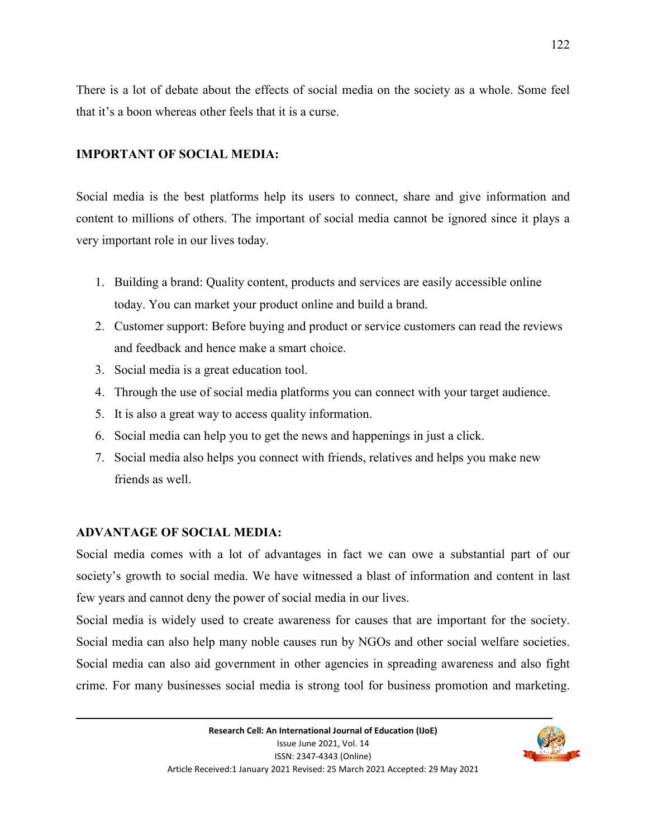There is a lot of debate about the effects of social media on the society as a whole. Some feel that it's a boon whereas other feels that it is a curse.

### **IMPORTANT OF SOCIAL MEDIA:**

Social media is the best platforms help its users to connect, share and give information and content to millions of others. The important of social media cannot be ignored since it plays a very important role in our lives today.

- 1. Building a brand: Quality content, products and services are easily accessible online today. You can market your product online and build a brand.
- 2. Customer support: Before buying and product or service customers can read the reviews and feedback and hence make a smart choice.
- 3. Social media is a great education tool.
- 4. Through the use of social media platforms you can connect with your target audience.
- 5. It is also a great way to access quality information.
- 6. Social media can help you to get the news and happenings in just a click.
- 7. Social media also helps you connect with friends, relatives and helps you make new friends as well.

# **ADVANTAGE OF SOCIAL MEDIA:**

Social media comes with a lot of advantages in fact we can owe a substantial part of our society's growth to social media. We have witnessed a blast of information and content in last few years and cannot deny the power of social media in our lives.

Social media is widely used to create awareness for causes that are important for the society. Social media can also help many noble causes run by NGOs and other social welfare societies. Social media can also aid government in other agencies in spreading awareness and also fight crime. For many businesses social media is strong tool for business promotion and marketing.

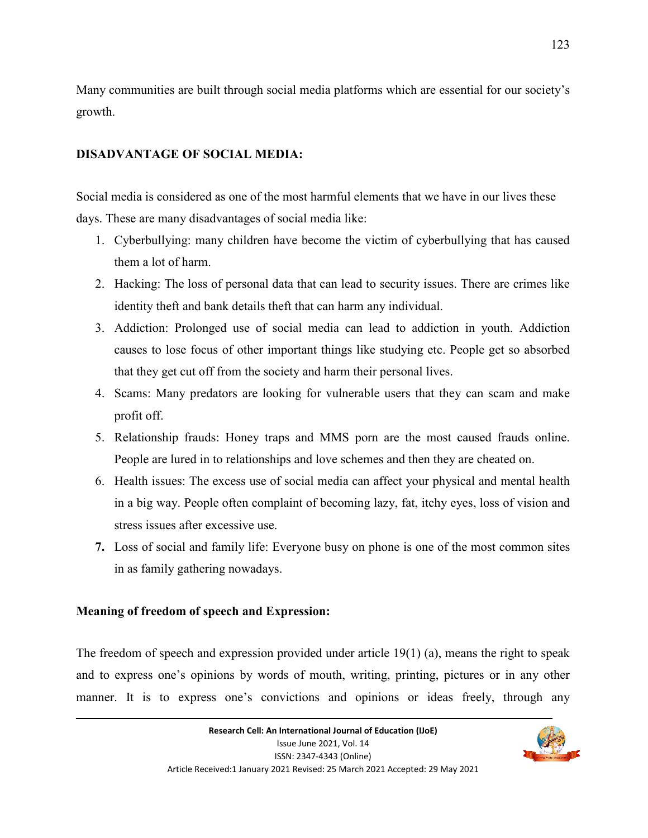Many communities are built through social media platforms which are essential for our society's growth.

### **DISADVANTAGE OF SOCIAL MEDIA:**

Social media is considered as one of the most harmful elements that we have in our lives these days. These are many disadvantages of social media like:

- 1. Cyberbullying: many children have become the victim of cyberbullying that has caused them a lot of harm.
- 2. Hacking: The loss of personal data that can lead to security issues. There are crimes like identity theft and bank details theft that can harm any individual.
- 3. Addiction: Prolonged use of social media can lead to addiction in youth. Addiction causes to lose focus of other important things like studying etc. People get so absorbed that they get cut off from the society and harm their personal lives.
- 4. Scams: Many predators are looking for vulnerable users that they can scam and make profit off.
- 5. Relationship frauds: Honey traps and MMS porn are the most caused frauds online. People are lured in to relationships and love schemes and then they are cheated on.
- 6. Health issues: The excess use of social media can affect your physical and mental health in a big way. People often complaint of becoming lazy, fat, itchy eyes, loss of vision and stress issues after excessive use.
- **7.** Loss of social and family life: Everyone busy on phone is one of the most common sites in as family gathering nowadays.

### **Meaning of freedom of speech and Expression:**

The freedom of speech and expression provided under article  $19(1)$  (a), means the right to speak and to express one's opinions by words of mouth, writing, printing, pictures or in any other manner. It is to express one's convictions and opinions or ideas freely, through any

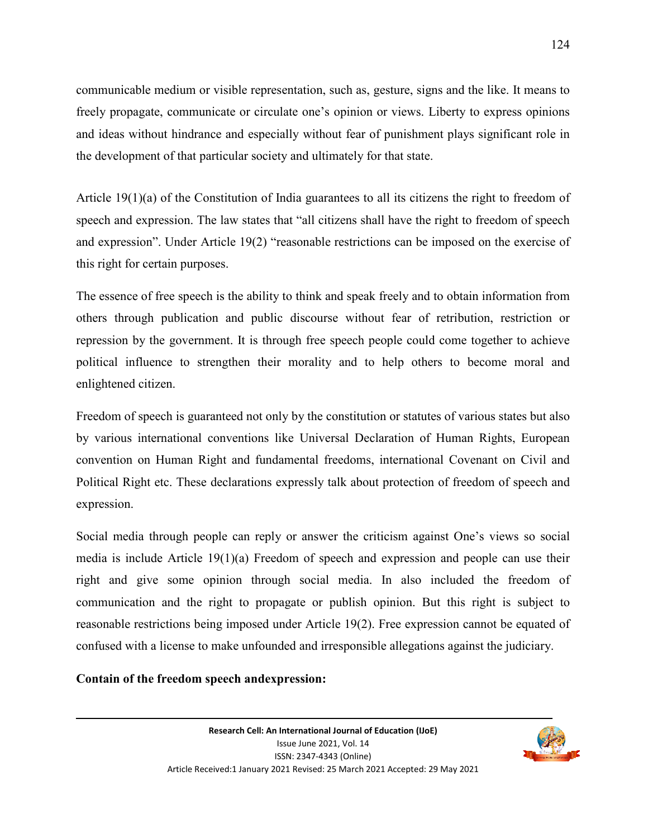communicable medium or visible representation, such as, gesture, signs and the like. It means to freely propagate, communicate or circulate one's opinion or views. Liberty to express opinions and ideas without hindrance and especially without fear of punishment plays significant role in the development of that particular society and ultimately for that state.

Article  $19(1)(a)$  of the Constitution of India guarantees to all its citizens the right to freedom of speech and expression. The law states that "all citizens shall have the right to freedom of speech and expression". Under Article 19(2) "reasonable restrictions can be imposed on the exercise of this right for certain purposes.

The essence of free speech is the ability to think and speak freely and to obtain information from others through publication and public discourse without fear of retribution, restriction or repression by the government. It is through free speech people could come together to achieve political influence to strengthen their morality and to help others to become moral and enlightened citizen.

Freedom of speech is guaranteed not only by the constitution or statutes of various states but also by various international conventions like Universal Declaration of Human Rights, European convention on Human Right and fundamental freedoms, international Covenant on Civil and Political Right etc. These declarations expressly talk about protection of freedom of speech and expression.

Social media through people can reply or answer the criticism against One's views so social media is include Article 19(1)(a) Freedom of speech and expression and people can use their right and give some opinion through social media. In also included the freedom of communication and the right to propagate or publish opinion. But this right is subject to reasonable restrictions being imposed under Article 19(2). Free expression cannot be equated of confused with a license to make unfounded and irresponsible allegations against the judiciary.

**Contain of the freedom speech andexpression:** 

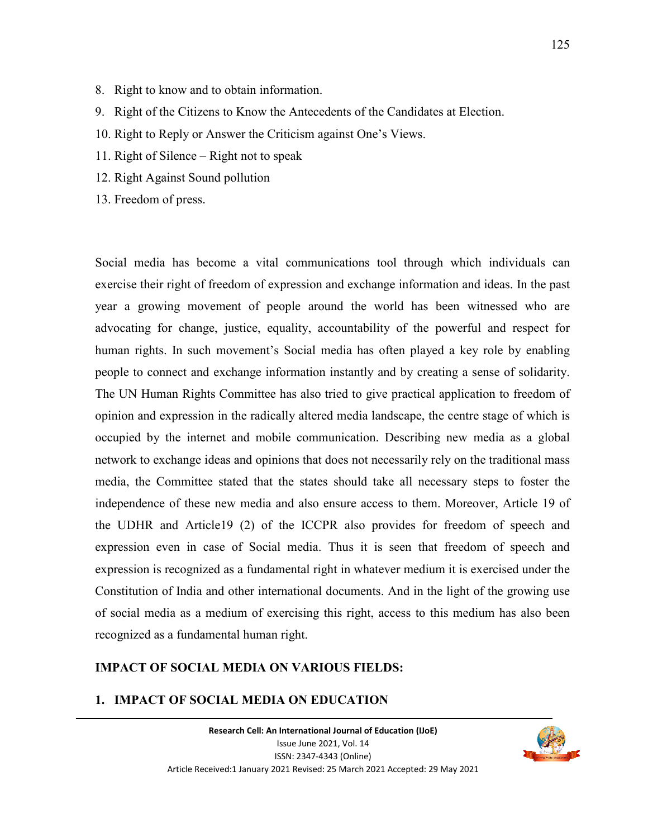- 8. Right to know and to obtain information.
- 9. Right of the Citizens to Know the Antecedents of the Candidates at Election.
- 10. Right to Reply or Answer the Criticism against One's Views.
- 11. Right of Silence Right not to speak
- 12. Right Against Sound pollution
- 13. Freedom of press.

Social media has become a vital communications tool through which individuals can exercise their right of freedom of expression and exchange information and ideas. In the past year a growing movement of people around the world has been witnessed who are advocating for change, justice, equality, accountability of the powerful and respect for human rights. In such movement's Social media has often played a key role by enabling people to connect and exchange information instantly and by creating a sense of solidarity. The UN Human Rights Committee has also tried to give practical application to freedom of opinion and expression in the radically altered media landscape, the centre stage of which is occupied by the internet and mobile communication. Describing new media as a global network to exchange ideas and opinions that does not necessarily rely on the traditional mass media, the Committee stated that the states should take all necessary steps to foster the independence of these new media and also ensure access to them. Moreover, Article 19 of the UDHR and Article19 (2) of the ICCPR also provides for freedom of speech and expression even in case of Social media. Thus it is seen that freedom of speech and expression is recognized as a fundamental right in whatever medium it is exercised under the Constitution of India and other international documents. And in the light of the growing use of social media as a medium of exercising this right, access to this medium has also been recognized as a fundamental human right.

#### **IMPACT OF SOCIAL MEDIA ON VARIOUS FIELDS:**

#### **1. IMPACT OF SOCIAL MEDIA ON EDUCATION**

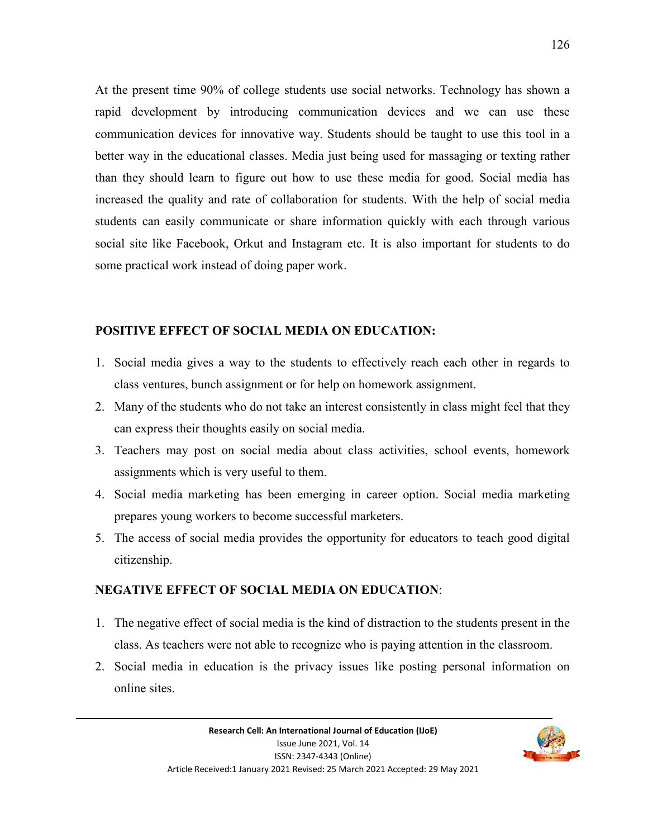At the present time 90% of college students use social networks. Technology has shown a rapid development by introducing communication devices and we can use these communication devices for innovative way. Students should be taught to use this tool in a better way in the educational classes. Media just being used for massaging or texting rather than they should learn to figure out how to use these media for good. Social media has increased the quality and rate of collaboration for students. With the help of social media students can easily communicate or share information quickly with each through various social site like Facebook, Orkut and Instagram etc. It is also important for students to do some practical work instead of doing paper work.

#### **POSITIVE EFFECT OF SOCIAL MEDIA ON EDUCATION:**

- 1. Social media gives a way to the students to effectively reach each other in regards to class ventures, bunch assignment or for help on homework assignment.
- 2. Many of the students who do not take an interest consistently in class might feel that they can express their thoughts easily on social media.
- 3. Teachers may post on social media about class activities, school events, homework assignments which is very useful to them.
- 4. Social media marketing has been emerging in career option. Social media marketing prepares young workers to become successful marketers.
- 5. The access of social media provides the opportunity for educators to teach good digital citizenship.

#### **NEGATIVE EFFECT OF SOCIAL MEDIA ON EDUCATION**:

- 1. The negative effect of social media is the kind of distraction to the students present in the class. As teachers were not able to recognize who is paying attention in the classroom.
- 2. Social media in education is the privacy issues like posting personal information on online sites.

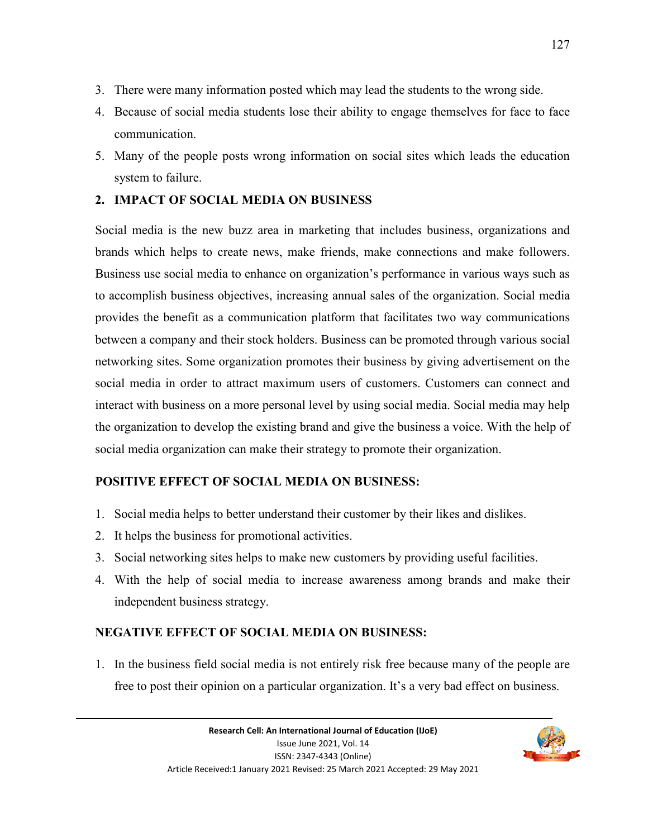- 3. There were many information posted which may lead the students to the wrong side.
- 4. Because of social media students lose their ability to engage themselves for face to face communication.
- 5. Many of the people posts wrong information on social sites which leads the education system to failure.

### **2. IMPACT OF SOCIAL MEDIA ON BUSINESS**

Social media is the new buzz area in marketing that includes business, organizations and brands which helps to create news, make friends, make connections and make followers. Business use social media to enhance on organization's performance in various ways such as to accomplish business objectives, increasing annual sales of the organization. Social media provides the benefit as a communication platform that facilitates two way communications between a company and their stock holders. Business can be promoted through various social networking sites. Some organization promotes their business by giving advertisement on the social media in order to attract maximum users of customers. Customers can connect and interact with business on a more personal level by using social media. Social media may help the organization to develop the existing brand and give the business a voice. With the help of social media organization can make their strategy to promote their organization.

# **POSITIVE EFFECT OF SOCIAL MEDIA ON BUSINESS:**

- 1. Social media helps to better understand their customer by their likes and dislikes.
- 2. It helps the business for promotional activities.
- 3. Social networking sites helps to make new customers by providing useful facilities.
- 4. With the help of social media to increase awareness among brands and make their independent business strategy.

# **NEGATIVE EFFECT OF SOCIAL MEDIA ON BUSINESS:**

1. In the business field social media is not entirely risk free because many of the people are free to post their opinion on a particular organization. It's a very bad effect on business.

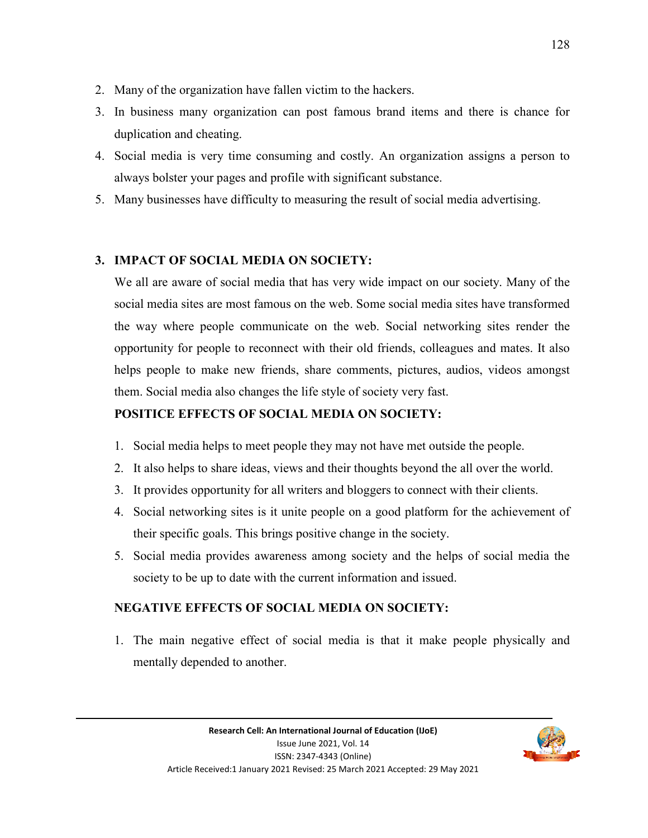- 2. Many of the organization have fallen victim to the hackers.
- 3. In business many organization can post famous brand items and there is chance for duplication and cheating.
- 4. Social media is very time consuming and costly. An organization assigns a person to always bolster your pages and profile with significant substance.
- 5. Many businesses have difficulty to measuring the result of social media advertising.

# **3. IMPACT OF SOCIAL MEDIA ON SOCIETY:**

We all are aware of social media that has very wide impact on our society. Many of the social media sites are most famous on the web. Some social media sites have transformed the way where people communicate on the web. Social networking sites render the opportunity for people to reconnect with their old friends, colleagues and mates. It also helps people to make new friends, share comments, pictures, audios, videos amongst them. Social media also changes the life style of society very fast.

# **POSITICE EFFECTS OF SOCIAL MEDIA ON SOCIETY:**

- 1. Social media helps to meet people they may not have met outside the people.
- 2. It also helps to share ideas, views and their thoughts beyond the all over the world.
- 3. It provides opportunity for all writers and bloggers to connect with their clients.
- 4. Social networking sites is it unite people on a good platform for the achievement of their specific goals. This brings positive change in the society.
- 5. Social media provides awareness among society and the helps of social media the society to be up to date with the current information and issued.

# **NEGATIVE EFFECTS OF SOCIAL MEDIA ON SOCIETY:**

1. The main negative effect of social media is that it make people physically and mentally depended to another.

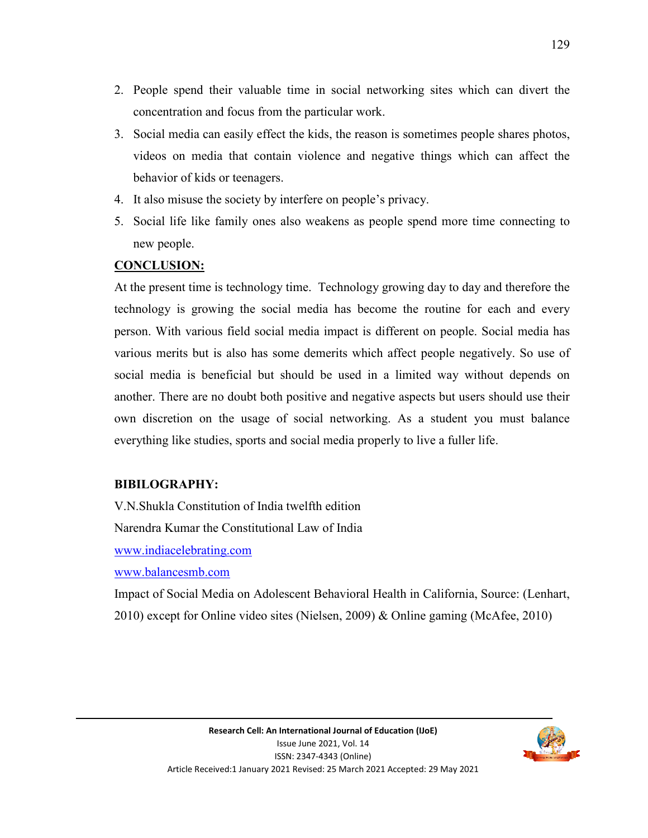- 2. People spend their valuable time in social networking sites which can divert the concentration and focus from the particular work.
- 3. Social media can easily effect the kids, the reason is sometimes people shares photos, videos on media that contain violence and negative things which can affect the behavior of kids or teenagers.
- 4. It also misuse the society by interfere on people's privacy.
- 5. Social life like family ones also weakens as people spend more time connecting to new people.

#### **CONCLUSION:**

At the present time is technology time. Technology growing day to day and therefore the technology is growing the social media has become the routine for each and every person. With various field social media impact is different on people. Social media has various merits but is also has some demerits which affect people negatively. So use of social media is beneficial but should be used in a limited way without depends on another. There are no doubt both positive and negative aspects but users should use their own discretion on the usage of social networking. As a student you must balance everything like studies, sports and social media properly to live a fuller life.

#### **BIBILOGRAPHY:**

V.N.Shukla Constitution of India twelfth edition Narendra Kumar the Constitutional Law of India www.indiacelebrating.com www.balancesmb.com

Impact of Social Media on Adolescent Behavioral Health in California, Source: (Lenhart, 2010) except for Online video sites (Nielsen, 2009) & Online gaming (McAfee, 2010)